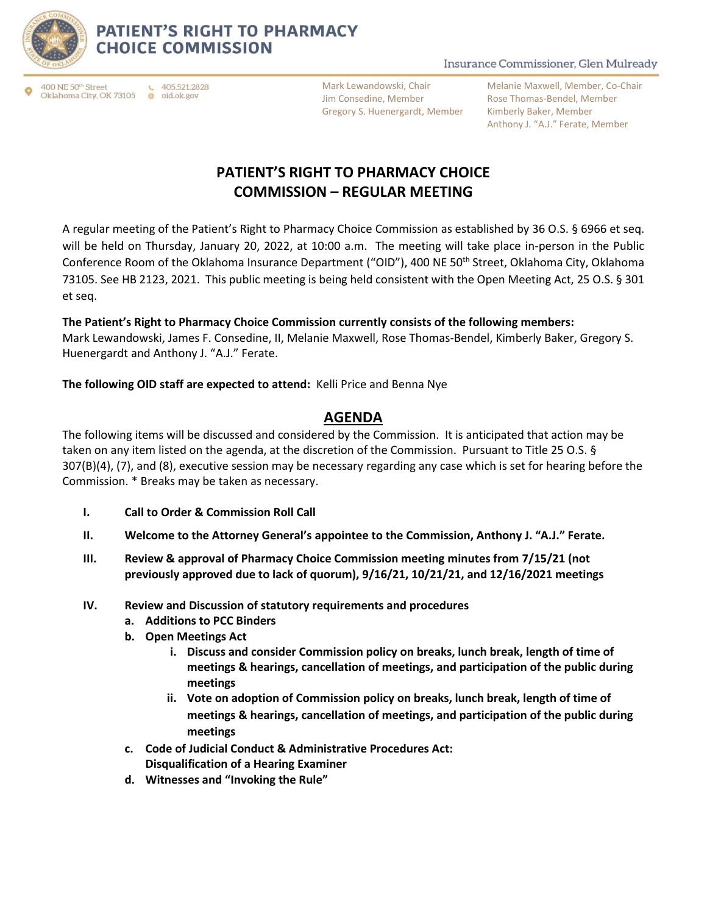

### **PATIENT'S RIGHT TO PHARMACY CHOICE COMMISSION**

400 NE 50th Street Oklahoma City, OK 73105 ● oid.ok.gov

Mark Lewandowski, Chair Jim Consedine, Member Gregory S. Huenergardt, Member

Insurance Commissioner, Glen Mulready

Melanie Maxwell, Member, Co-Chair Rose Thomas-Bendel, Member Kimberly Baker, Member Anthony J. "A.J." Ferate, Member

# **PATIENT'S RIGHT TO PHARMACY CHOICE COMMISSION – REGULAR MEETING**

A regular meeting of the Patient's Right to Pharmacy Choice Commission as established by 36 O.S. § 6966 et seq. will be held on Thursday, January 20, 2022, at 10:00 a.m. The meeting will take place in-person in the Public Conference Room of the Oklahoma Insurance Department ("OID"), 400 NE 50<sup>th</sup> Street, Oklahoma City, Oklahoma 73105. See HB 2123, 2021. This public meeting is being held consistent with the Open Meeting Act, 25 O.S. § 301 et seq.

#### **The Patient's Right to Pharmacy Choice Commission currently consists of the following members:**

Mark Lewandowski, James F. Consedine, II, Melanie Maxwell, Rose Thomas-Bendel, Kimberly Baker, Gregory S. Huenergardt and Anthony J. "A.J." Ferate.

**The following OID staff are expected to attend:** Kelli Price and Benna Nye

### **AGENDA**

The following items will be discussed and considered by the Commission. It is anticipated that action may be taken on any item listed on the agenda, at the discretion of the Commission. Pursuant to Title 25 O.S. § 307(B)(4), (7), and (8), executive session may be necessary regarding any case which is set for hearing before the Commission. \* Breaks may be taken as necessary.

- **I. Call to Order & Commission Roll Call**
- **II. Welcome to the Attorney General's appointee to the Commission, Anthony J. "A.J." Ferate.**
- **III. Review & approval of Pharmacy Choice Commission meeting minutes from 7/15/21 (not previously approved due to lack of quorum), 9/16/21, 10/21/21, and 12/16/2021 meetings**
- **IV. Review and Discussion of statutory requirements and procedures**
	- **a. Additions to PCC Binders**
	- **b. Open Meetings Act**
		- **i. Discuss and consider Commission policy on breaks, lunch break, length of time of meetings & hearings, cancellation of meetings, and participation of the public during meetings**
		- **ii. Vote on adoption of Commission policy on breaks, lunch break, length of time of meetings & hearings, cancellation of meetings, and participation of the public during meetings**
	- **c. Code of Judicial Conduct & Administrative Procedures Act: Disqualification of a Hearing Examiner**
	- **d. Witnesses and "Invoking the Rule"**